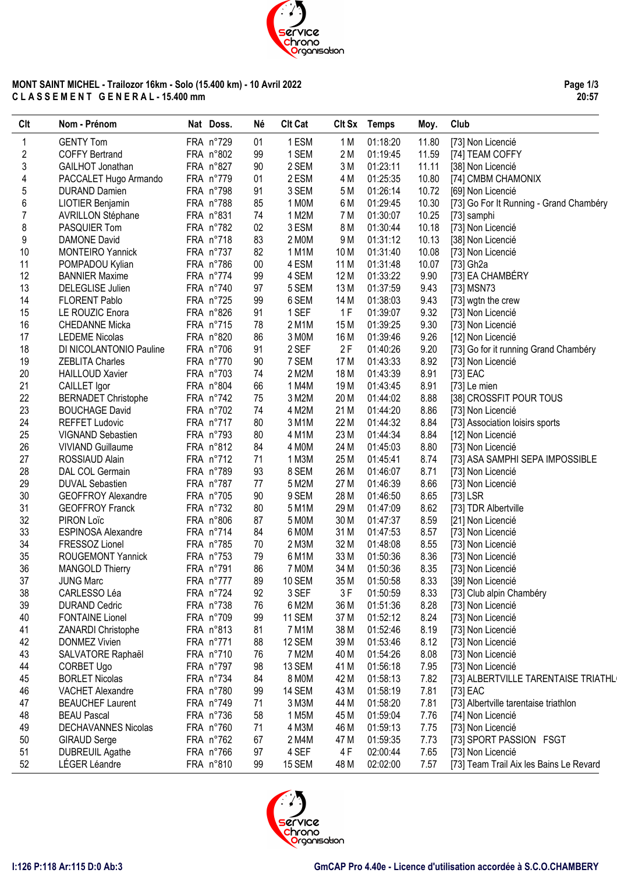

## **MONT SAINT MICHEL - Trailozor 16km - Solo (15.400 km) - 10 Avril 2022 C L A S S E M E N T G E N E R A L - 15.400 mm**

**Page 1/3 20:57**

| Clt | Nom - Prénom               | Nat Doss. | Né | <b>Clt Cat</b> |                 | Clt Sx Temps | Moy.  | Club                                    |
|-----|----------------------------|-----------|----|----------------|-----------------|--------------|-------|-----------------------------------------|
| 1   | <b>GENTY Tom</b>           | FRA n°729 | 01 | 1 ESM          | 1 M             | 01:18:20     | 11.80 | [73] Non Licencié                       |
| 2   | <b>COFFY Bertrand</b>      | FRA n°802 | 99 | 1 SEM          | 2 M             | 01:19:45     | 11.59 | [74] TEAM COFFY                         |
| 3   | GAILHOT Jonathan           | FRA n°827 | 90 | 2 SEM          | 3M              | 01:23:11     | 11.11 | [38] Non Licencié                       |
| 4   | PACCALET Hugo Armando      | FRA n°779 | 01 | 2 ESM          | 4 M             | 01:25:35     | 10.80 | [74] CMBM CHAMONIX                      |
| 5   | <b>DURAND Damien</b>       | FRA n°798 | 91 | 3 SEM          | 5 M             | 01:26:14     | 10.72 | [69] Non Licencié                       |
| 6   | LIOTIER Benjamin           | FRA n°788 | 85 | 1 MOM          | 6 M             | 01:29:45     | 10.30 | [73] Go For It Running - Grand Chambéry |
| 7   | <b>AVRILLON Stéphane</b>   | FRA n°831 | 74 | 1 M2M          | 7 M             | 01:30:07     | 10.25 | [73] samphi                             |
| 8   | PASQUIER Tom               | FRA n°782 | 02 | 3 ESM          | 8 M             | 01:30:44     | 10.18 | [73] Non Licencié                       |
| 9   | DAMONE David               | FRA n°718 | 83 | 2 MOM          | 9 M             | 01:31:12     | 10.13 | [38] Non Licencié                       |
| 10  | <b>MONTEIRO Yannick</b>    | FRA n°737 | 82 | 1 M1M          | 10 M            | 01:31:40     | 10.08 | [73] Non Licencié                       |
| 11  | POMPADOU Kylian            | FRA n°786 | 00 | 4 ESM          | 11 M            | 01:31:48     | 10.07 | [73] Gh2a                               |
| 12  | <b>BANNIER Maxime</b>      | FRA n°774 | 99 | 4 SEM          | 12 M            | 01:33:22     | 9.90  | [73] EA CHAMBÉRY                        |
| 13  | DELEGLISE Julien           | FRA n°740 | 97 | 5 SEM          | 13 M            | 01:37:59     | 9.43  | [73] MSN73                              |
| 14  | <b>FLORENT Pablo</b>       | FRA n°725 | 99 | 6 SEM          | 14 M            | 01:38:03     | 9.43  | [73] wgtn the crew                      |
| 15  | LE ROUZIC Enora            | FRA n°826 | 91 | 1 SEF          | 1F              | 01:39:07     | 9.32  | [73] Non Licencié                       |
| 16  | <b>CHEDANNE Micka</b>      | FRA n°715 | 78 | 2 M1M          | 15 M            | 01:39:25     | 9.30  | [73] Non Licencié                       |
| 17  | <b>LEDEME Nicolas</b>      | FRA n°820 | 86 | 3 MOM          | 16 M            | 01:39:46     | 9.26  | [12] Non Licencié                       |
| 18  | DI NICOLANTONIO Pauline    | FRA n°706 | 91 | 2 SEF          | 2F              | 01:40:26     | 9.20  | [73] Go for it running Grand Chambéry   |
| 19  | <b>ZEBLITA Charles</b>     | FRA n°770 | 90 | 7 SEM          | 17 M            | 01:43:33     | 8.92  | [73] Non Licencié                       |
| 20  | <b>HAILLOUD Xavier</b>     | FRA n°703 | 74 | 2 M2M          | 18 M            | 01:43:39     | 8.91  |                                         |
| 21  |                            | FRA n°804 | 66 | 1 M4M          | 19 <sub>M</sub> |              | 8.91  | [73] EAC                                |
| 22  | CAILLET Igor               | FRA n°742 |    |                |                 | 01:43:45     |       | [73] Le mien                            |
| 23  | <b>BERNADET Christophe</b> |           | 75 | 3 M2M          | 20 M            | 01:44:02     | 8.88  | [38] CROSSFIT POUR TOUS                 |
|     | <b>BOUCHAGE David</b>      | FRA n°702 | 74 | 4 M2M          | 21 M            | 01:44:20     | 8.86  | [73] Non Licencié                       |
| 24  | <b>REFFET Ludovic</b>      | FRA n°717 | 80 | 3 M1M          | 22 M            | 01:44:32     | 8.84  | [73] Association loisirs sports         |
| 25  | VIGNAND Sebastien          | FRA n°793 | 80 | 4 M1M          | 23 M            | 01:44:34     | 8.84  | [12] Non Licencié                       |
| 26  | <b>VIVIAND Guillaume</b>   | FRA n°812 | 84 | 4 MOM          | 24 M            | 01:45:03     | 8.80  | [73] Non Licencié                       |
| 27  | ROSSIAUD Alain             | FRA n°712 | 71 | 1 M3M          | 25 M            | 01:45:41     | 8.74  | [73] ASA SAMPHI SEPA IMPOSSIBLE         |
| 28  | DAL COL Germain            | FRA n°789 | 93 | 8 SEM          | 26 M            | 01:46:07     | 8.71  | [73] Non Licencié                       |
| 29  | <b>DUVAL Sebastien</b>     | FRA n°787 | 77 | 5 M2M          | 27 M            | 01:46:39     | 8.66  | [73] Non Licencié                       |
| 30  | <b>GEOFFROY Alexandre</b>  | FRA n°705 | 90 | 9 SEM          | 28 M            | 01:46:50     | 8.65  | $[73]$ LSR                              |
| 31  | <b>GEOFFROY Franck</b>     | FRA n°732 | 80 | 5 M1M          | 29 M            | 01:47:09     | 8.62  | [73] TDR Albertville                    |
| 32  | PIRON Loïc                 | FRA n°806 | 87 | 5 M0M          | 30 M            | 01:47:37     | 8.59  | [21] Non Licencié                       |
| 33  | ESPINOSA Alexandre         | FRA n°714 | 84 | 6 MOM          | 31 M            | 01:47:53     | 8.57  | [73] Non Licencié                       |
| 34  | FRESSOZ Lionel             | FRA n°785 | 70 | 2 M3M          | 32 M            | 01:48:08     | 8.55  | [73] Non Licencié                       |
| 35  | ROUGEMONT Yannick          | FRA n°753 | 79 | 6 M1M          | 33 M            | 01:50:36     | 8.36  | [73] Non Licencié                       |
| 36  | <b>MANGOLD Thierry</b>     | FRA n°791 | 86 | 7 MOM          | 34 M            | 01:50:36     | 8.35  | [73] Non Licencié                       |
| 37  | <b>JUNG Marc</b>           | FRA n°777 | 89 | 10 SEM         | 35 M            | 01:50:58     | 8.33  | [39] Non Licencié                       |
| 38  | CARLESSO Léa               | FRA n°724 | 92 | 3 SEF          | 3F              | 01:50:59     | 8.33  | [73] Club alpin Chambéry                |
| 39  | <b>DURAND Cedric</b>       | FRA n°738 | 76 | 6 M2M          | 36 M            | 01:51:36     | 8.28  | [73] Non Licencié                       |
| 40  | <b>FONTAINE Lionel</b>     | FRA n°709 | 99 | <b>11 SEM</b>  | 37 M            | 01:52:12     | 8.24  | [73] Non Licencié                       |
| 41  | ZANARDI Christophe         | FRA n°813 | 81 | 7 M1M          | 38 M            | 01:52:46     | 8.19  | [73] Non Licencié                       |
| 42  | <b>DONMEZ Vivien</b>       | FRA n°771 | 88 | 12 SEM         | 39 M            | 01:53:46     | 8.12  | [73] Non Licencié                       |
| 43  | SALVATORE Raphaël          | FRA n°710 | 76 | 7 M2M          | 40 M            | 01:54:26     | 8.08  | [73] Non Licencié                       |
| 44  | CORBET Ugo                 | FRA n°797 | 98 | 13 SEM         | 41 M            | 01:56:18     | 7.95  | [73] Non Licencié                       |
| 45  | <b>BORLET Nicolas</b>      | FRA n°734 | 84 | 8 M0M          | 42 M            | 01:58:13     | 7.82  | [73] ALBERTVILLE TARENTAISE TRIATHL     |
| 46  | VACHET Alexandre           | FRA n°780 | 99 | 14 SEM         | 43 M            | 01:58:19     | 7.81  | [73] EAC                                |
| 47  | <b>BEAUCHEF Laurent</b>    | FRA n°749 | 71 | 3 M3M          | 44 M            | 01:58:20     | 7.81  | [73] Albertville tarentaise triathlon   |
| 48  | <b>BEAU Pascal</b>         | FRA n°736 | 58 | 1 M5M          | 45 M            | 01:59:04     | 7.76  | [74] Non Licencié                       |
| 49  | DECHAVANNES Nicolas        | FRA n°760 | 71 | 4 M3M          | 46 M            | 01:59:13     | 7.75  | [73] Non Licencié                       |
| 50  | <b>GIRAUD Serge</b>        | FRA n°762 | 67 | 2 M4M          | 47 M            | 01:59:35     | 7.73  | [73] SPORT PASSION FSGT                 |
| 51  | <b>DUBREUIL Agathe</b>     | FRA n°766 | 97 | 4 SEF          | 4 F             | 02:00:44     | 7.65  | [73] Non Licencié                       |
| 52  | LÉGER Léandre              | FRA n°810 | 99 | <b>15 SEM</b>  | 48 M            | 02:02:00     | 7.57  | [73] Team Trail Aix les Bains Le Revard |

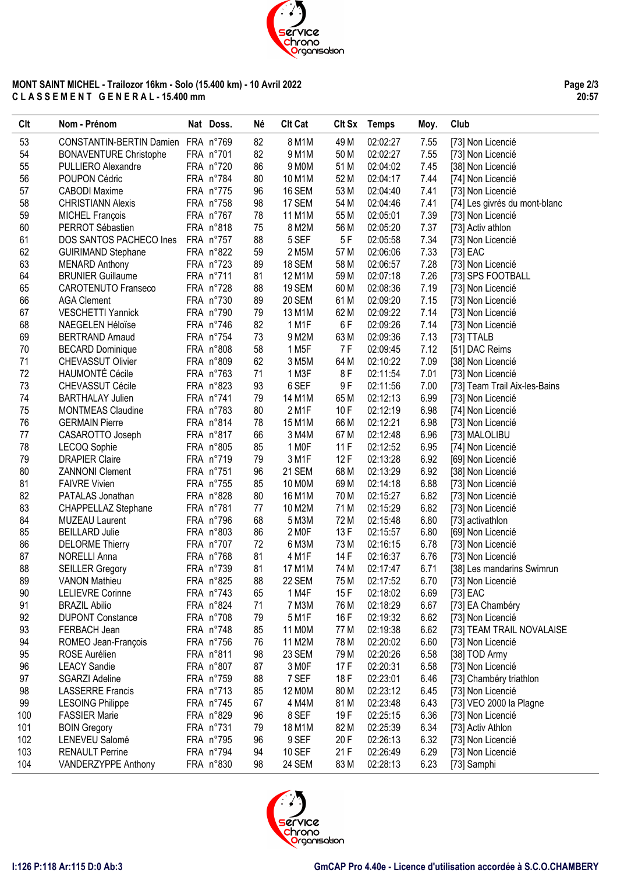

## **MONT SAINT MICHEL - Trailozor 16km - Solo (15.400 km) - 10 Avril 2022 C L A S S E M E N T G E N E R A L - 15.400 mm**

**Page 2/3 20:57**

| Clt | Nom - Prénom                       | Nat Doss. | Né | <b>Clt Cat</b>     | Clt Sx | Temps    | Moy. | Club                          |
|-----|------------------------------------|-----------|----|--------------------|--------|----------|------|-------------------------------|
| 53  | CONSTANTIN-BERTIN Damien FRA n°769 |           | 82 | 8 M1M              | 49 M   | 02:02:27 | 7.55 | [73] Non Licencié             |
| 54  | <b>BONAVENTURE Christophe</b>      | FRA n°701 | 82 | 9 M1M              | 50 M   | 02:02:27 | 7.55 | [73] Non Licencié             |
| 55  | PULLIERO Alexandre                 | FRA n°720 | 86 | 9 M0M              | 51 M   | 02:04:02 | 7.45 | [38] Non Licencié             |
| 56  | POUPON Cédric                      | FRA n°784 | 80 | 10 M1M             | 52 M   | 02:04:17 | 7.44 | [74] Non Licencié             |
| 57  | <b>CABODI Maxime</b>               | FRA n°775 | 96 | 16 SEM             | 53 M   | 02:04:40 | 7.41 | [73] Non Licencié             |
| 58  | <b>CHRISTIANN Alexis</b>           | FRA n°758 | 98 | 17 SEM             | 54 M   | 02:04:46 | 7.41 | [74] Les givrés du mont-blanc |
| 59  | <b>MICHEL François</b>             | FRA n°767 | 78 | 11 M1M             | 55 M   | 02:05:01 | 7.39 | [73] Non Licencié             |
| 60  | PERROT Sébastien                   | FRA n°818 | 75 | 8 M2M              | 56 M   | 02:05:20 | 7.37 | [73] Activ athlon             |
| 61  | DOS SANTOS PACHECO Ines            | FRA n°757 | 88 | 5 SEF              | 5F     | 02:05:58 | 7.34 | [73] Non Licencié             |
| 62  | <b>GUIRIMAND Stephane</b>          | FRA n°822 | 59 | 2 M5M              | 57 M   | 02:06:06 | 7.33 | [73] EAC                      |
| 63  | <b>MENARD Anthony</b>              | FRA n°723 | 89 | 18 SEM             | 58 M   | 02:06:57 | 7.28 | [73] Non Licencié             |
| 64  | <b>BRUNIER Guillaume</b>           | FRA n°711 | 81 | 12 M1M             | 59 M   | 02:07:18 | 7.26 | [73] SPS FOOTBALL             |
| 65  | <b>CAROTENUTO Franseco</b>         | FRA n°728 | 88 | 19 SEM             | 60 M   | 02:08:36 | 7.19 | [73] Non Licencié             |
| 66  | <b>AGA Clement</b>                 | FRA n°730 | 89 | <b>20 SEM</b>      | 61 M   | 02:09:20 | 7.15 | [73] Non Licencié             |
| 67  | <b>VESCHETTI Yannick</b>           | FRA n°790 | 79 | 13 M1M             | 62 M   | 02:09:22 | 7.14 | [73] Non Licencié             |
| 68  | NAEGELEN Héloïse                   | FRA n°746 | 82 | 1 M1F              | 6F     | 02:09:26 | 7.14 | [73] Non Licencié             |
| 69  | <b>BERTRAND Arnaud</b>             | FRA n°754 | 73 | 9 M2M              | 63 M   | 02:09:36 | 7.13 | [73] TTALB                    |
| 70  | <b>BECARD Dominique</b>            | FRA n°808 | 58 | 1 M <sub>5</sub> F | 7 F    | 02:09:45 | 7.12 | [51] DAC Reims                |
| 71  | CHEVASSUT Olivier                  | FRA n°809 | 62 | 3 M5M              | 64 M   | 02:10:22 | 7.09 | [38] Non Licencié             |
| 72  | <b>HAUMONTÉ Cécile</b>             | FRA n°763 | 71 | 1 M3F              | 8F     | 02:11:54 | 7.01 | [73] Non Licencié             |
| 73  | CHEVASSUT Cécile                   | FRA n°823 | 93 | 6 SEF              | 9F     | 02:11:56 | 7.00 | [73] Team Trail Aix-les-Bains |
| 74  | <b>BARTHALAY Julien</b>            | FRA n°741 | 79 | 14 M1M             | 65 M   | 02:12:13 | 6.99 | [73] Non Licencié             |
| 75  | <b>MONTMEAS Claudine</b>           | FRA n°783 | 80 | 2 M1F              | 10F    | 02:12:19 | 6.98 | [74] Non Licencié             |
| 76  | <b>GERMAIN Pierre</b>              | FRA n°814 | 78 | 15 M1M             | 66 M   | 02:12:21 | 6.98 | [73] Non Licencié             |
| 77  | CASAROTTO Joseph                   | FRA n°817 | 66 | 3 M4M              | 67 M   | 02:12:48 | 6.96 | [73] MALOLIBU                 |
| 78  | LECOQ Sophie                       | FRA n°805 | 85 | 1 MOF              | 11F    | 02:12:52 | 6.95 | [74] Non Licencié             |
| 79  | <b>DRAPIER Claire</b>              | FRA n°719 | 79 | 3 M1F              | 12F    | 02:13:28 | 6.92 | [69] Non Licencié             |
| 80  | <b>ZANNONI Clement</b>             | FRA n°751 | 96 | 21 SEM             | 68 M   | 02:13:29 | 6.92 | [38] Non Licencié             |
| 81  | <b>FAIVRE Vivien</b>               | FRA n°755 | 85 | 10 MOM             | 69 M   | 02:14:18 | 6.88 | [73] Non Licencié             |
| 82  | PATALAS Jonathan                   | FRA n°828 | 80 | 16 M1M             | 70 M   | 02:15:27 | 6.82 | [73] Non Licencié             |
| 83  | CHAPPELLAZ Stephane                | FRA n°781 | 77 | 10 M2M             | 71 M   | 02:15:29 | 6.82 | [73] Non Licencié             |
| 84  | <b>MUZEAU Laurent</b>              | FRA n°796 | 68 | 5 M3M              | 72 M   | 02:15:48 | 6.80 | [73] activathlon              |
| 85  | <b>BEILLARD Julie</b>              | FRA n°803 | 86 | 2 M <sub>OF</sub>  | 13F    | 02:15:57 | 6.80 | [69] Non Licencié             |
| 86  | <b>DELORME Thierry</b>             | FRA n°707 | 72 | 6 M3M              | 73 M   | 02:16:15 | 6.78 | [73] Non Licencié             |
| 87  | <b>NORELLI Anna</b>                | FRA n°768 | 81 | 4 M1F              | 14 F   | 02:16:37 | 6.76 | [73] Non Licencié             |
| 88  | <b>SEILLER Gregory</b>             | FRA n°739 | 81 | 17 M1M             | 74 M   | 02:17:47 | 6.71 | [38] Les mandarins Swimrun    |
| 89  | <b>VANON Mathieu</b>               | FRA n°825 | 88 | 22 SEM             | 75 M   | 02:17:52 | 6.70 | [73] Non Licencié             |
| 90  | <b>LELIEVRE Corinne</b>            | FRA n°743 | 65 | 1 M4F              | 15F    | 02:18:02 | 6.69 | [73] EAC                      |
| 91  | <b>BRAZIL Abilio</b>               | FRA n°824 | 71 | 7 M3M              | 76 M   | 02:18:29 | 6.67 | [73] EA Chambéry              |
| 92  | <b>DUPONT Constance</b>            | FRA n°708 | 79 | 5 M1F              | 16 F   | 02:19:32 | 6.62 | [73] Non Licencié             |
| 93  | FERBACH Jean                       | FRA n°748 | 85 | 11 M0M             | 77 M   | 02:19:38 | 6.62 | [73] TEAM TRAIL NOVALAISE     |
| 94  | ROMEO Jean-François                | FRA n°756 | 76 | 11 M2M             | 78 M   | 02:20:02 | 6.60 | [73] Non Licencié             |
| 95  | ROSE Aurélien                      | FRA n°811 | 98 | 23 SEM             | 79 M   | 02:20:26 | 6.58 | [38] TOD Army                 |
| 96  | <b>LEACY Sandie</b>                | FRA n°807 | 87 | 3 MOF              | 17F    | 02:20:31 | 6.58 | [73] Non Licencié             |
| 97  | <b>SGARZI Adeline</b>              | FRA n°759 | 88 | 7 SEF              | 18 F   | 02:23:01 | 6.46 | [73] Chambéry triathlon       |
| 98  | <b>LASSERRE Francis</b>            | FRA n°713 | 85 | 12 MOM             | 80 M   | 02:23:12 | 6.45 | [73] Non Licencié             |
| 99  | <b>LESOING Philippe</b>            | FRA n°745 | 67 | 4 M4M              | 81 M   | 02:23:48 | 6.43 | [73] VEO 2000 la Plagne       |
| 100 | <b>FASSIER Marie</b>               | FRA n°829 | 96 | 8 SEF              | 19F    | 02:25:15 | 6.36 | [73] Non Licencié             |
| 101 | <b>BOIN Gregory</b>                | FRA n°731 | 79 | 18 M1M             | 82 M   | 02:25:39 | 6.34 | [73] Activ Athlon             |
| 102 | LENEVEU Salomé                     | FRA n°795 | 96 | 9 SEF              | 20 F   | 02:26:13 | 6.32 | [73] Non Licencié             |
| 103 | <b>RENAULT Perrine</b>             | FRA n°794 | 94 | <b>10 SEF</b>      | 21 F   | 02:26:49 | 6.29 | [73] Non Licencié             |
| 104 | VANDERZYPPE Anthony                | FRA n°830 | 98 | 24 SEM             | 83 M   | 02:28:13 | 6.23 | [73] Samphi                   |
|     |                                    |           |    |                    |        |          |      |                               |